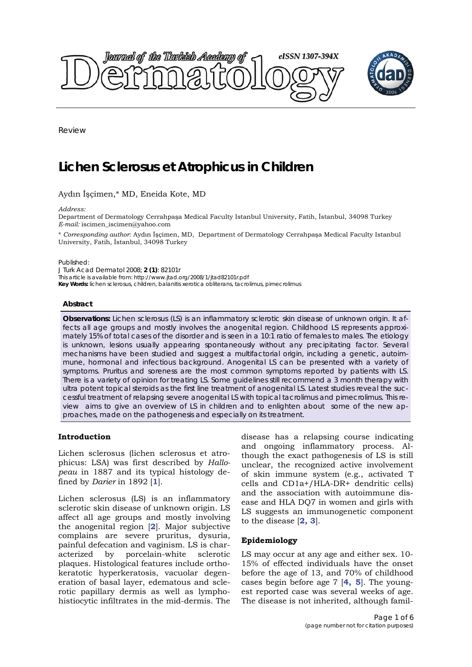

Review

# **Lichen Sclerosus et Atrophicus in Children**

# Aydın İşçimen,\* MD, Eneida Kote, MD

*Address:* 

Department of Dermatology Cerrahpaşa Medical Faculty Istanbul University, Fatih, İstanbul, 34098 Turkey *E-mail:* iscimen\_iscimen@yahoo.com

\* *Corresponding author*: Aydın İşçimen, MD, Department of Dermatology Cerrahpaşa Medical Faculty Istanbul University, Fatih, İstanbul, 34098 Turkey

Published:

*J Turk Acad Dermatol* 2008; **2 (1)**: 82101r This article is available from: http://www.jtad.org/2008/1/jtad82101r.pdf **Key Words:** lichen sclerosus, children, balanitis xerotica obliterans, tacrolimus, pimecrolimus

#### **Abstract**

**Observations:** Lichen sclerosus (LS) is an inflammatory sclerotic skin disease of unknown origin. It affects all age groups and mostly involves the anogenital region. Childhood LS represents approximately 15% of total cases of the disorder and is seen in a 10:1 ratio of females to males. The etiology is unknown, lesions usually appearing spontaneously without any precipitating factor. Several mechanisms have been studied and suggest a multifactorial origin, including a genetic, autoimmune, hormonal and infectious background. Anogenital LS can be presented with a variety of symptoms. Pruritus and soreness are the most common symptoms reported by patients with LS. There is a variety of opinion for treating LS. Some guidelines still recommend a 3 month therapy with ultra potent topical steroids as the first line treatment of anogenital LS. Latest studies reveal the successful treatment of relapsing severe anogenital LS with topical tacrolimus and pimecrolimus. This review aims to give an overview of LS in children and to enlighten about some of the new approaches, made on the pathogenesis and especially on its treatment.

## **Introduction**

Lichen sclerosus (lichen sclerosus et atrophicus: LSA) was first described by *Hallopeau* in 1887 and its typical histology defined by *Darier* in 1892 [**1**].

Lichen sclerosus (LS) is an inflammatory sclerotic skin disease of unknown origin. LS affect all age groups and mostly involving the anogenital region [**2**]. Major subjective complains are severe pruritus, dysuria, painful defecation and vaginism. LS is characterized by porcelain-white sclerotic plaques. Histological features include orthokeratotic hyperkeratosis, vacuolar degeneration of basal layer, edematous and sclerotic papillary dermis as well as lymphohistiocytic infiltrates in the mid-dermis. The

disease has a relapsing course indicating and ongoing inflammatory process. Although the exact pathogenesis of LS is still unclear, the recognized active involvement of skin immune system (e.g., activated T cells and CD1a+/HLA-DR+ dendritic cells) and the association with autoimmune disease and HLA DQ7 in women and girls with LS suggests an immunogenetic component to the disease [**2, 3**].

## **Epidemiology**

LS may occur at any age and either sex. 10- 15% of effected individuals have the onset before the age of 13, and 70% of childhood cases begin before age 7 [**4, 5**]. The youngest reported case was several weeks of age. The disease is not inherited, although famil-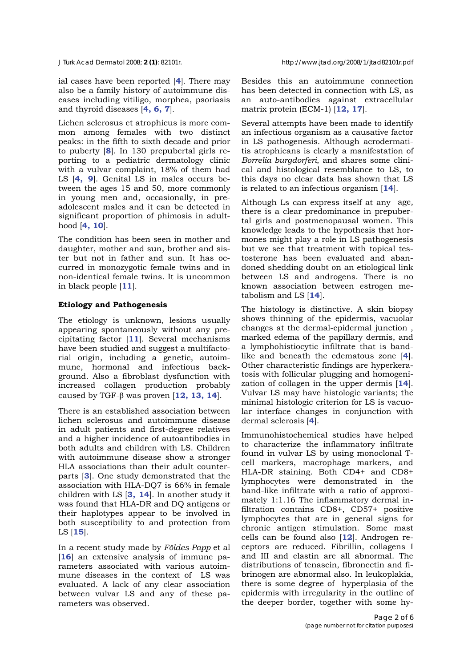ial cases have been reported [**4**]. There may also be a family history of autoimmune diseases including vitiligo, morphea, psoriasis and thyroid diseases [**4, 6, 7**].

Lichen sclerosus et atrophicus is more common among females with two distinct peaks: in the fifth to sixth decade and prior to puberty [**8**]. In 130 prepubertal girls reporting to a pediatric dermatology clinic with a vulvar complaint, 18% of them had LS [**4, 9**]. Genital LS in males occurs between the ages 15 and 50, more commonly in young men and, occasionally, in preadolescent males and it can be detected in significant proportion of phimosis in adulthood [**4, 10**].

The condition has been seen in mother and daughter, mother and sun, brother and sister but not in father and sun. It has occurred in monozygotic female twins and in non-identical female twins. It is uncommon in black people [**11**].

# **Etiology and Pathogenesis**

The etiology is unknown, lesions usually appearing spontaneously without any precipitating factor [**11**]. Several mechanisms have been studied and suggest a multifactorial origin, including a genetic, autoimmune, hormonal and infectious background. Also a fibroblast dysfunction with increased collagen production probably caused by TGF-β was proven [**12, 13, 14**].

There is an established association between lichen sclerosus and autoimmune disease in adult patients and first-degree relatives and a higher incidence of autoantibodies in both adults and children with LS. Children with autoimmune disease show a stronger HLA associations than their adult counterparts [**3**]. One study demonstrated that the association with HLA-DQ7 is 66% in female children with LS [**3, 14**]. In another study it was found that HLA-DR and DQ antigens or their haplotypes appear to be involved in both susceptibility to and protection from LS [**15**].

In a recent study made by *Földes-Papp* et al [**16**] an extensive analysis of immune parameters associated with various autoimmune diseases in the context of LS was evaluated. A lack of any clear association between vulvar LS and any of these parameters was observed.

Besides this an autoimmune connection has been detected in connection with LS, as an auto-antibodies against extracellular matrix protein (ECM-1) [**12, 17**].

Several attempts have been made to identify an infectious organism as a causative factor in LS pathogenesis. Although acrodermatitis atrophicans is clearly a manifestation of *Borrelia burgdorferi*, and shares some clinical and histological resemblance to LS, to this days no clear data has shown that LS is related to an infectious organism [**14**].

Although Ls can express itself at any age, there is a clear predominance in prepubertal girls and postmenopausal women. This knowledge leads to the hypothesis that hormones might play a role in LS pathogenesis but we see that treatment with topical testosterone has been evaluated and abandoned shedding doubt on an etiological link between LS and androgens. There is no known association between estrogen metabolism and LS [**14**].

The histology is distinctive. A skin biopsy shows thinning of the epidermis, vacuolar changes at the dermal-epidermal junction , marked edema of the papillary dermis, and a lymphohistiocytic infiltrate that is bandlike and beneath the edematous zone [**4**]. Other characteristic findings are hyperkeratosis with follicular plugging and homogenization of collagen in the upper dermis [**14**]. Vulvar LS may have histologic variants; the minimal histologic criterion for LS is vacuolar interface changes in conjunction with dermal sclerosis [**4**].

Immunohistochemical studies have helped to characterize the inflammatory infiltrate found in vulvar LS by using monoclonal Tcell markers, macrophage markers, and HLA-DR staining. Both CD4+ and CD8+ lymphocytes were demonstrated in the band-like infiltrate with a ratio of approximately 1:1.16 The inflammatory dermal infiltration contains CD8+, CD57+ positive lymphocytes that are in general signs for chronic antigen stimulation. Some mast cells can be found also [**12**]. Androgen receptors are reduced. Fibrillin, collagens I and III and elastin are all abnormal. The distributions of tenascin, fibronectin and fibrinogen are abnormal also. In leukoplakia, there is some degree of hyperplasia of the epidermis with irregularity in the outline of the deeper border, together with some hy-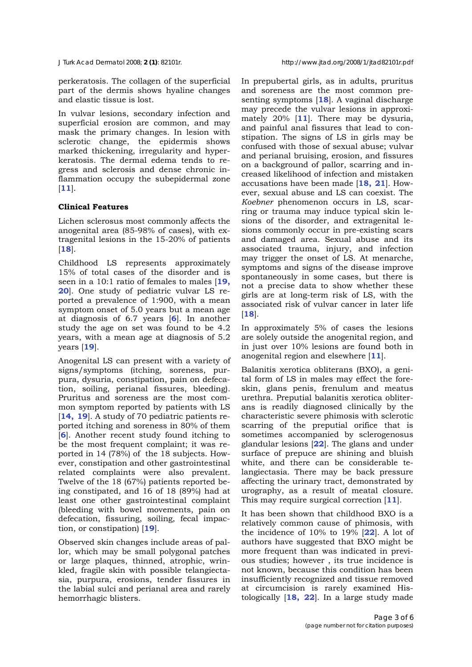perkeratosis. The collagen of the superficial part of the dermis shows hyaline changes and elastic tissue is lost.

In vulvar lesions, secondary infection and superficial erosion are common, and may mask the primary changes. In lesion with sclerotic change, the epidermis shows marked thickening, irregularity and hyperkeratosis. The dermal edema tends to regress and sclerosis and dense chronic inflammation occupy the subepidermal zone [**11**].

# **Clinical Features**

Lichen sclerosus most commonly affects the anogenital area (85-98% of cases), with extragenital lesions in the 15-20% of patients [**18**].

Childhood LS represents approximately 15% of total cases of the disorder and is seen in a 10:1 ratio of females to males [**19, 20**]. One study of pediatric vulvar LS reported a prevalence of 1:900, with a mean symptom onset of 5.0 years but a mean age at diagnosis of 6.7 years [**6**]. In another study the age on set was found to be 4.2 years, with a mean age at diagnosis of 5.2 years [**19**].

Anogenital LS can present with a variety of signs/symptoms (itching, soreness, purpura, dysuria, constipation, pain on defecation, soiling, perianal fissures, bleeding). Pruritus and soreness are the most common symptom reported by patients with LS [14, 19]. A study of 70 pediatric patients reported itching and soreness in 80% of them [**6**]. Another recent study found itching to be the most frequent complaint; it was reported in 14 (78%) of the 18 subjects. However, constipation and other gastrointestinal related complaints were also prevalent. Twelve of the 18 (67%) patients reported being constipated, and 16 of 18 (89%) had at least one other gastrointestinal complaint (bleeding with bowel movements, pain on defecation, fissuring, soiling, fecal impaction, or constipation) [**19**].

Observed skin changes include areas of pallor, which may be small polygonal patches or large plaques, thinned, atrophic, wrinkled, fragile skin with possible telangiectasia, purpura, erosions, tender fissures in the labial sulci and perianal area and rarely hemorrhagic blisters.

In prepubertal girls, as in adults, pruritus and soreness are the most common presenting symptoms [**18**]. A vaginal discharge may precede the vulvar lesions in approximately 20% [**11**]. There may be dysuria, and painful anal fissures that lead to constipation. The signs of LS in girls may be confused with those of sexual abuse; vulvar and perianal bruising, erosion, and fissures on a background of pallor, scarring and increased likelihood of infection and mistaken accusations have been made [**18, 21**]. However, sexual abuse and LS can coexist. The *Koebner* phenomenon occurs in LS, scarring or trauma may induce typical skin lesions of the disorder, and extragenital lesions commonly occur in pre-existing scars and damaged area. Sexual abuse and its associated trauma, injury, and infection may trigger the onset of LS. At menarche, symptoms and signs of the disease improve spontaneously in some cases, but there is not a precise data to show whether these girls are at long-term risk of LS, with the associated risk of vulvar cancer in later life [**18**].

In approximately 5% of cases the lesions are solely outside the anogenital region, and in just over 10% lesions are found both in anogenital region and elsewhere [**11**].

Balanitis xerotica obliterans (BXO), a genital form of LS in males may effect the foreskin, glans penis, frenulum and meatus urethra. Preputial balanitis xerotica obliterans is readily diagnosed clinically by the characteristic severe phimosis with sclerotic scarring of the preputial orifice that is sometimes accompanied by sclerogenosus glandular lesions [**22**]. The glans and under surface of prepuce are shining and bluish white, and there can be considerable telangiectasia. There may be back pressure affecting the urinary tract, demonstrated by urography, as a result of meatal closure. This may require surgical correction [**11**].

It has been shown that childhood BXO is a relatively common cause of phimosis, with the incidence of 10% to 19% [**22**]. A lot of authors have suggested that BXO might be more frequent than was indicated in previous studies; however , its true incidence is not known, because this condition has been insufficiently recognized and tissue removed at circumcision is rarely examined Histologically [**18, 22**]. In a large study made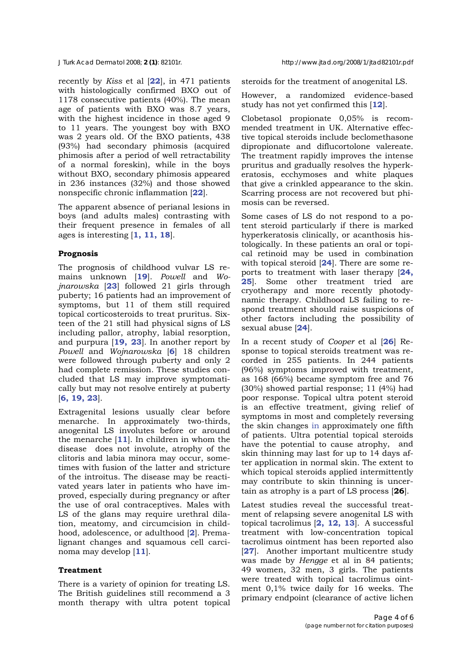recently by *Kiss* et al [**22**], in 471 patients with histologically confirmed BXO out of 1178 consecutive patients (40%). The mean age of patients with BXO was 8.7 years, with the highest incidence in those aged 9 to 11 years. The youngest boy with BXO was 2 years old. Of the BXO patients, 438 (93%) had secondary phimosis (acquired phimosis after a period of well retractability of a normal foreskin), while in the boys without BXO, secondary phimosis appeared in 236 instances (32%) and those showed nonspecific chronic inflammation [**22**].

The apparent absence of perianal lesions in boys (and adults males) contrasting with their frequent presence in females of all ages is interesting [**1, 11, 18**].

## **Prognosis**

The prognosis of childhood vulvar LS remains unknown [**19**]. *Powell* and *Wojnarowska* [**23**] followed 21 girls through puberty; 16 patients had an improvement of symptoms, but 11 of them still required topical corticosteroids to treat pruritus. Sixteen of the 21 still had physical signs of LS including pallor, atrophy, labial resorption, and purpura [**19, 23**]. In another report by *Powell* and *Wojnarowska* [**6**] 18 children were followed through puberty and only 2 had complete remission. These studies concluded that LS may improve symptomatically but may not resolve entirely at puberty [**6, 19, 23**].

Extragenital lesions usually clear before menarche. In approximately two-thirds, anogenital LS involutes before or around the menarche [**11**]. In children in whom the disease does not involute, atrophy of the clitoris and labia minora may occur, sometimes with fusion of the latter and stricture of the introitus. The disease may be reactivated years later in patients who have improved, especially during pregnancy or after the use of oral contraceptives. Males with LS of the glans may require urethral dilation, meatomy, and circumcision in childhood, adolescence, or adulthood [**2**]. Premalignant changes and squamous cell carcinoma may develop [**11**].

### **Treatment**

There is a variety of opinion for treating LS. The British guidelines still recommend a 3 month therapy with ultra potent topical steroids for the treatment of anogenital LS.

However, a randomized evidence-based study has not yet confirmed this [**12**].

Clobetasol propionate 0,05% is recommended treatment in UK. Alternative effective topical steroids include beclomethasone dipropionate and diflucortolone valereate. The treatment rapidly improves the intense pruritus and gradually resolves the hyperkeratosis, ecchymoses and white plaques that give a crinkled appearance to the skin. Scarring process are not recovered but phimosis can be reversed.

Some cases of LS do not respond to a potent steroid particularly if there is marked hyperkeratosis clinically, or acanthosis histologically. In these patients an oral or topical retinoid may be used in combination with topical steroid [**24**]. There are some reports to treatment with laser therapy [**24, 25**]. Some other treatment tried are cryotherapy and more recently photodynamic therapy. Childhood LS failing to respond treatment should raise suspicions of other factors including the possibility of sexual abuse [**24**].

In a recent study of *Cooper* et al [**26**] Response to topical steroids treatment was recorded in 255 patients. In 244 patients (96%) symptoms improved with treatment, as 168 (66%) became symptom free and 76 (30%) showed partial response; 11 (4%) had poor response. Topical ultra potent steroid is an effective treatment, giving relief of symptoms in most and completely reversing the skin changes in approximately one fifth of patients. Ultra potential topical steroids have the potential to cause atrophy, and skin thinning may last for up to 14 days after application in normal skin. The extent to which topical steroids applied intermittently may contribute to skin thinning is uncertain as atrophy is a part of LS process [**26**].

Latest studies reveal the successful treatment of relapsing severe anogenital LS with topical tacrolimus [**2, 12, 13**]. A successful treatment with low-concentration topical tacrolimus ointment has been reported also [**27**]. Another important multicentre study was made by *Hengge* et al in 84 patients; 49 women, 32 men, 3 girls. The patients were treated with topical tacrolimus ointment 0,1% twice daily for 16 weeks. The primary endpoint (clearance of active lichen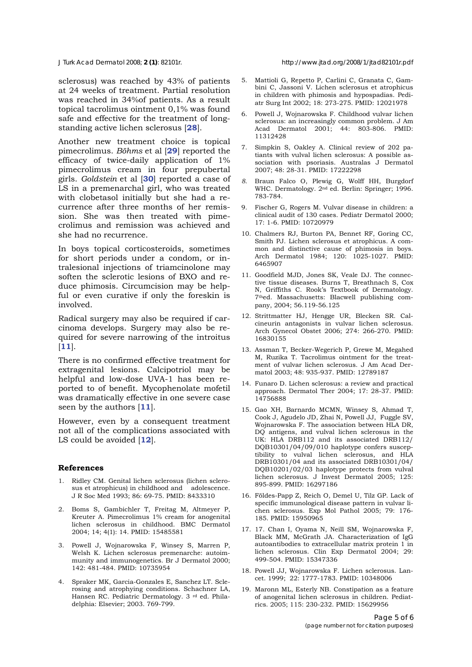*J Turk Acad Dermatol* 2008; **2 (1)**: 82101r. http://www.jtad.org/2008/1/jtad82101r.pdf

sclerosus) was reached by 43% of patients at 24 weeks of treatment. Partial resolution was reached in 34%of patients. As a result topical tacrolimus ointment 0,1% was found safe and effective for the treatment of longstanding active lichen sclerosus [**28**].

Another new treatment choice is topical pimecrolimus. *Böhms* et al [**29**] reported the efficacy of twice-daily application of 1% pimecrolimus cream in four prepubertal girls. *Goldstein* et al [**30**] reported a case of LS in a premenarchal girl, who was treated with clobetasol initially but she had a recurrence after three months of her remission. She was then treated with pimecrolimus and remission was achieved and she had no recurrence.

In boys topical corticosteroids, sometimes for short periods under a condom, or intralesional injections of triamcinolone may soften the sclerotic lesions of BXO and reduce phimosis. Circumcision may be helpful or even curative if only the foreskin is involved.

Radical surgery may also be required if carcinoma develops. Surgery may also be required for severe narrowing of the introitus [**11**].

There is no confirmed effective treatment for extragenital lesions. Calcipotriol may be helpful and low-dose UVA-1 has been reported to of benefit. Mycophenolate mofetil was dramatically effective in one severe case seen by the authors [**11**].

However, even by a consequent treatment not all of the complications associated with LS could be avoided [**12**].

#### **References**

- 1. Ridley CM. Genital lichen sclerosus (lichen sclerosus et atrophicus) in childhood and adolescence. J R Soc Med 1993; 86: 69-75. PMID: 8433310
- 2. Boms S, Gambichler T, Freitag M, Altmeyer P, Kreuter A. Pimecrolimus 1% cream for anogenital lichen sclerosus in childhood. BMC Dermatol 2004; 14; 4(1): 14. PMID: 15485581
- 3. Powell J, Wojnarowska F, Winsey S, Marren P, Welsh K. Lichen sclerosus premenarche: autoimmunity and immunogenetics. Br J Dermatol 2000; 142: 481-484. PMID: 10735954
- 4. Spraker MK, Garcia-Gonzales E, Sanchez LT. Sclerosing and atrophying conditions. Schachner LA, Hansen RC. Pediatric Dermatology. 3 <sup>rd</sup> ed. Philadelphia: Elsevier; 2003. 769-799.
- 5. Mattioli G, Repetto P, Carlini C, Granata C, Gambini C, Jassoni V. Lichen sclerosus et atrophicus in children with phimosis and hypospadias. Pediatr Surg Int 2002; 18: 273-275. PMID: 12021978
- 6. Powell J, Wojnarowska F. Childhood vulvar lichen sclerosus: an increasingly common problem. J Am Acad Dermatol 2001; 44: 803-806. PMID: 11312428
- 7. Simpkin S, Oakley A. Clinical review of 202 patiants with vulval lichen sclerosus: A possible association with psoriasis. Australas J Dermatol 2007; 48: 28-31. PMID: 17222298
- *8.* Braun Falco O, Plewig G, Wolff HH, Burgdorf WHC. Dermatology. 2nd ed. Berlin: Springer; 1996. 783-784.
- 9. Fischer G, Rogers M. Vulvar disease in children: a clinical audit of 130 cases. Pediatr Dermatol 2000; 17: 1-6. PMID: 10720979
- 10. Chalmers RJ, Burton PA, Bennet RF, Goring CC, Smith PJ. Lichen sclerosus et atrophicus. A common and distinctive cause of phimosis in boys. Arch Dermatol 1984; 120: 1025-1027. PMID: 6465907
- 11. Goodfield MJD, Jones SK, Veale DJ. The connective tissue diseases. Burns T, Breathnach S, Cox N, Griffiths C. Rook's Textbook of Dermatology. 7thed. Massachusetts: Blacwell publishing company, 2004; 56.119-56.125
- 12. Strittmatter HJ, Hengge UR, Blecken SR. Calcineurin antagonists in vulvar lichen sclerosus. Arch Gynecol Obstet 2006; 274: 266-270. PMID: 16830155
- 13. Assman T, Becker-Wegerich P, Grewe M, Megahed M, Ruzika T. Tacrolimus ointment for the treatment of vulvar lichen sclerosus. J Am Acad Dermatol 2003; 48: 935-937. PMID: 12789187
- 14. Funaro D. Lichen sclerosus: a review and practical approach. Dermatol Ther 2004; 17: 28-37. PMID: 14756888
- 15. Gao XH, Barnardo MCMN, Winsey S, Ahmad T, Cook J, Agudelo JD, Zhai N, Powell JJ, Fuggle SV, Wojnarowska F. The association between HLA DR, DQ antigens, and vulval lichen sclerosus in the UK: HLA DRB112 and its associated DRB112/ DQB10301/04/09/010 haplotype confers susceptibility to vulval lichen sclerosus, and HLA DRB10301/04 and its associated DRB10301/04/ DQB10201/02/03 haplotype protects from vulval lichen sclerosus. J Invest Dermatol 2005; 125: 895-899. PMID: 16297186
- 16. Földes-Papp Z, Reich O, Demel U, Tilz GP. Lack of specific immunological disease pattern in vulvar lichen sclerosus. Exp Mol Pathol 2005; 79: 176- 185. PMID: 15950965
- 17. 17. Chan I, Oyama N, Neill SM, Wojnarowska F, Black MM, McGrath JA. Characterization of IgG autoantibodies to extracellular matrix protein 1 in lichen sclerosus. Clin Exp Dermatol 2004; 29: 499-504. PMID: 15347336
- 18. Powell JJ, Wojnarowska F. Lichen sclerosus. Lancet. 1999; 22: 1777-1783. PMID: 10348006
- 19. Maronn ML, Esterly NB. Constipation as a feature of anogenital lichen sclerosus in children. Pediatrics. 2005; 115: 230-232. PMID: 15629956